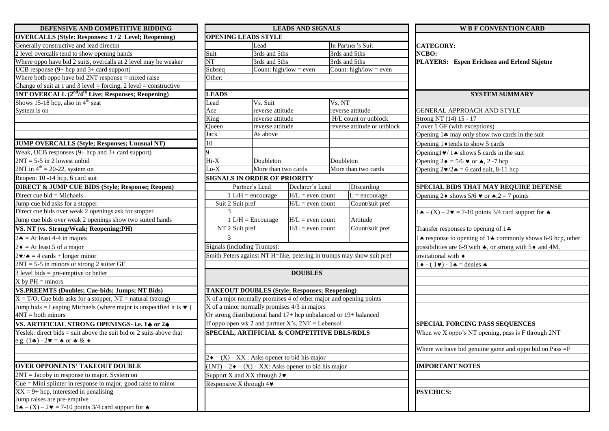| DEFENSIVE AND COMPETITIVE BIDDING                                                      | <b>LEADS AND SIGNALS</b> |                     |                                                 |                                                                                  |                           |                                                                       |  |
|----------------------------------------------------------------------------------------|--------------------------|---------------------|-------------------------------------------------|----------------------------------------------------------------------------------|---------------------------|-----------------------------------------------------------------------|--|
| <b>OVERCALLS (Style: Responses: 1/2 Level; Reopening)</b>                              |                          |                     | <b>OPENING LEADS STYLE</b>                      |                                                                                  |                           |                                                                       |  |
| Generally constructive and lead directin                                               |                          |                     |                                                 | Lead                                                                             |                           | In Partner's Suit                                                     |  |
| 2 level overcalls tend to show opening hands                                           | Suit                     |                     | 3rds and 5ths                                   |                                                                                  | 3rds and 5ths             |                                                                       |  |
| Where oppo have bid 2 suits, overcalls at 2 level may be weaker                        | $\overline{\text{NT}}$   |                     | 3rds and 5ths                                   |                                                                                  | 3rds and 5ths             |                                                                       |  |
| UCB response $(9 + hcp$ and $3 + card$ support)                                        | Subseq                   |                     |                                                 | Count: high/low = even                                                           |                           | Count: high/low = even                                                |  |
| Where both oppo have bid $2NT$ response = mixed raise                                  | Other:                   |                     |                                                 |                                                                                  |                           |                                                                       |  |
| Change of suit at 1 and 3 level = forcing, 2 level = constructive                      |                          |                     |                                                 |                                                                                  |                           |                                                                       |  |
| 1NT OVERCALL (2 <sup>nd</sup> /4 <sup>th</sup> Live; Responses; Reopening)             | <b>LEADS</b>             |                     |                                                 |                                                                                  |                           |                                                                       |  |
| Shows 15-18 hcp, also in $4th$ seat                                                    | Lead                     |                     | Vs. Suit                                        |                                                                                  | Vs. NT                    |                                                                       |  |
| System is on                                                                           | Ace                      |                     |                                                 | reverse attitude                                                                 |                           | reverse attitude                                                      |  |
|                                                                                        |                          | King                |                                                 | reverse attitude                                                                 |                           | H/L count or unblock                                                  |  |
|                                                                                        | Queen<br>Jack            |                     | reverse attitude                                |                                                                                  | reverse attitude or unble |                                                                       |  |
|                                                                                        |                          |                     | As above                                        |                                                                                  |                           |                                                                       |  |
| <b>JUMP OVERCALLS (Style; Responses; Unusual NT)</b>                                   | 10                       |                     |                                                 |                                                                                  |                           |                                                                       |  |
| Weak, UCB responses (9+ hcp and 3+ card support)                                       |                          | 9                   |                                                 |                                                                                  |                           |                                                                       |  |
| $2NT = 5-5$ in 2 lowest unbid                                                          |                          | $Hi-X$              |                                                 |                                                                                  | Doubleton                 |                                                                       |  |
| $2NT$ in $4th = 20-22$ , system on                                                     | $Lo-X$                   |                     | More than two cards                             |                                                                                  | More than two cards       |                                                                       |  |
| Reopen: 10 -14 hcp, 6 card suit                                                        |                          |                     |                                                 | <b>SIGNALS IN ORDER OF PRIORITY</b>                                              |                           |                                                                       |  |
| <b>DIRECT &amp; JUMP CUE BIDS (Style; Response; Reopen)</b>                            |                          | Partner's Lead      |                                                 | Declarer's Lead                                                                  |                           | Discarding                                                            |  |
| Direct cue bid = Michaels                                                              |                          | $1$ L/H = encourage |                                                 | $H/L =$ even count                                                               |                           | $L =$ encourage                                                       |  |
| Jump cue bid asks for a stopper                                                        |                          | Suit 2 Suit pref    |                                                 | $H/L =$ even count                                                               |                           | Count/suit pref                                                       |  |
| Direct cue bids over weak 2 openings ask for stopper                                   |                          |                     |                                                 |                                                                                  |                           |                                                                       |  |
| Jump cue bids over weak 2 openings show two suited hands                               |                          |                     | $1 L/H $ = Encourage                            | $H/L =$ even count                                                               |                           | Attitude                                                              |  |
| VS. NT (vs. Strong/Weak; Reopening;PH)                                                 |                          | $NT$ 2 Suit pref    |                                                 | $H/L =$ even count                                                               |                           | Count/suit pref                                                       |  |
| $2\bullet$ = At least 4-4 in majors                                                    |                          |                     |                                                 |                                                                                  |                           |                                                                       |  |
| $2 \triangleleft$ = At least 5 of a major                                              |                          |                     | Signals (including Trumps):                     |                                                                                  |                           |                                                                       |  |
| $2\blacktriangleright/\blacktriangle = 4$ cards + longer minor                         |                          |                     |                                                 |                                                                                  |                           | Smith Peters against NT H=like, petering in trumps may show suit pref |  |
| $2NT = 5-5$ in minors or strong 2 suiter GF                                            |                          |                     |                                                 |                                                                                  |                           |                                                                       |  |
| $3$ level bids = pre-emptive or better                                                 |                          |                     |                                                 | <b>DOUBLES</b>                                                                   |                           |                                                                       |  |
| $X$ by $PH =$ minors                                                                   |                          |                     |                                                 |                                                                                  |                           |                                                                       |  |
| <b>VS.PREEMTS (Doubles; Cue-bids; Jumps; NT Bids)</b>                                  |                          |                     |                                                 | <b>TAKEOUT DOUBLES (Style; Responses; Reopening)</b>                             |                           |                                                                       |  |
| $X = T/O$ , Cue bids asks for a stopper, NT = natural (strong)                         |                          |                     |                                                 | $X$ of a mior normally promises $\overline{4}$ of other major and opening points |                           |                                                                       |  |
| Jump bids = Leaping Michaels (where major is unspecified it is $\bullet$ )             |                          |                     |                                                 | X of a minor normally promises 4/3 in majors                                     |                           |                                                                       |  |
| $4NT = both minors$                                                                    |                          |                     |                                                 | Or strong distributional hand 17+ hcp unbalanced or 19+ balanced                 |                           |                                                                       |  |
| VS. ARTIFICIAL STRONG OPENINGS-i.e. 14 or 24                                           |                          |                     |                                                 | If oppo open wk 2 and partner $X$ 's, $2NT =$ Lebensol                           |                           |                                                                       |  |
| Yeslek: direct bids $=$ suit above the suit bid or 2 suits above that                  |                          |                     |                                                 | SPECIAL, ARTIFICIAL & COMPETITIVE DBLS/RDLS                                      |                           |                                                                       |  |
| e.g. $(1\clubsuit) - 2\blacktriangledown = \spadesuit$ or $\clubsuit \& \spadesuit$    |                          |                     |                                                 |                                                                                  |                           |                                                                       |  |
|                                                                                        |                          |                     |                                                 |                                                                                  |                           |                                                                       |  |
|                                                                                        |                          |                     |                                                 | $2\bullet - (X) - XX$ : Asks opener to bid his major                             |                           |                                                                       |  |
| <b>OVER OPPONENTS' TAKEOUT DOUBLE</b>                                                  |                          |                     |                                                 | $(1NT) - 2 \cdot - (X) - XX$ : Asks opener to bid his major                      |                           |                                                                       |  |
| $2NT = Jacoby$ in response to major. System on                                         |                          |                     | Support X and XX through $2\blacktriangleright$ |                                                                                  |                           |                                                                       |  |
| Cue = Mini splinter in response to major, good raise to minor                          |                          |                     | Responsive X through $4\blacktriangledown$      |                                                                                  |                           |                                                                       |  |
| $XX = 9 + \text{hcp}$ , interested in penalising                                       |                          |                     |                                                 |                                                                                  |                           |                                                                       |  |
| Jump raises are pre-emptive                                                            |                          |                     |                                                 |                                                                                  |                           |                                                                       |  |
| $1 \triangle - (X) - 2 \triangledown = 7 - 10$ points 3/4 card support for $\triangle$ |                          |                     |                                                 |                                                                                  |                           |                                                                       |  |

| DEFENSIVE AND COMPETITIVE BIDDING                                                      |                                                                                                               |                           |                                     | <b>LEADS AND SIGNALS</b>                               |                                                                       |  | <b>WE F CONVENTION CARD</b>                                                  |  |  |
|----------------------------------------------------------------------------------------|---------------------------------------------------------------------------------------------------------------|---------------------------|-------------------------------------|--------------------------------------------------------|-----------------------------------------------------------------------|--|------------------------------------------------------------------------------|--|--|
| <b>OVERCALLS (Style: Responses: 1/2 Level; Reopening)</b>                              |                                                                                                               |                           | <b>OPENING LEADS STYLE</b>          |                                                        |                                                                       |  |                                                                              |  |  |
| Generally constructive and lead directin                                               |                                                                                                               |                           | Lead                                |                                                        | In Partner's Suit                                                     |  | <b>CATEGORY:</b>                                                             |  |  |
| 2 level overcalls tend to show opening hands                                           | Suit                                                                                                          |                           | 3rds and 5ths                       |                                                        | 3rds and 5ths                                                         |  | NCBO:                                                                        |  |  |
| Where oppo have bid 2 suits, overcalls at 2 level may be weaker                        | <b>NT</b>                                                                                                     |                           | 3rds and 5ths                       |                                                        | 3rds and 5ths                                                         |  | PLAYERS: Espen Erichsen and Erlend Skjetne                                   |  |  |
| UCB response $(9 + hcp$ and $3 + card$ support)                                        | Subseq                                                                                                        |                           | Count: high/low = even              |                                                        | Count: high/low = even                                                |  |                                                                              |  |  |
| Where both oppo have bid $2NT$ response = mixed raise                                  | Other:                                                                                                        |                           |                                     |                                                        |                                                                       |  |                                                                              |  |  |
| Change of suit at 1 and 3 level = forcing, 2 level = constructive                      |                                                                                                               |                           |                                     |                                                        |                                                                       |  |                                                                              |  |  |
| 1NT OVERCALL (2 <sup>nd</sup> /4 <sup>th</sup> Live; Responses; Reopening)             | <b>LEADS</b>                                                                                                  |                           |                                     |                                                        |                                                                       |  | <b>SYSTEM SUMMARY</b>                                                        |  |  |
| Shows 15-18 hcp, also in $4th$ seat                                                    | Lead                                                                                                          |                           | Vs. Suit                            |                                                        | Vs. NT                                                                |  |                                                                              |  |  |
| System is on                                                                           | Ace                                                                                                           |                           | reverse attitude                    |                                                        | reverse attitude                                                      |  | <b>GENERAL APPROACH AND STYLE</b>                                            |  |  |
|                                                                                        | King                                                                                                          |                           | reverse attitude                    |                                                        | H/L count or unblock                                                  |  | Strong NT (14) 15 - 17                                                       |  |  |
|                                                                                        | Queen                                                                                                         |                           | reverse attitude                    |                                                        | reverse attitude or unblock                                           |  | 2 over 1 GF (with exceptions)                                                |  |  |
|                                                                                        | Jack                                                                                                          |                           | As above                            |                                                        |                                                                       |  | Opening $1\clubsuit$ may only show two cards in the suit                     |  |  |
| <b>JUMP OVERCALLS (Style; Responses; Unusual NT)</b>                                   | 10                                                                                                            |                           |                                     |                                                        |                                                                       |  | Opening $1 \blacklozenge$ tends to show 5 cards                              |  |  |
| Weak, UCB responses $(9 + hcp$ and $3 + card$ support)                                 |                                                                                                               |                           |                                     |                                                        |                                                                       |  | Opening $1 \vee 1 \triangle$ shows 5 cards in the suit                       |  |  |
| $2NT = 5-5$ in 2 lowest unbid                                                          | $Hi-X$                                                                                                        |                           | Doubleton                           |                                                        | Doubleton                                                             |  | Opening $2 \cdot = 5/6 \cdot \text{or}$ $\land$ , 2 -7 hcp                   |  |  |
| $2NT$ in $4th = 20-22$ , system on                                                     | $Lo-X$                                                                                                        |                           | More than two cards                 |                                                        | More than two cards                                                   |  | Opening $2\blacktriangledown/2 \blacktriangle = 6$ card suit, 8-11 hcp       |  |  |
| Reopen: 10 -14 hcp, 6 card suit                                                        |                                                                                                               |                           | <b>SIGNALS IN ORDER OF PRIORITY</b> |                                                        |                                                                       |  |                                                                              |  |  |
| <b>DIRECT &amp; JUMP CUE BIDS (Style; Response; Reopen)</b>                            |                                                                                                               |                           | Partner's Lead                      | Declarer's Lead                                        | <b>Discarding</b>                                                     |  | SPECIAL BIDS THAT MAY REQUIRE DEFENSE                                        |  |  |
| Direct cue bid = Michaels                                                              |                                                                                                               |                           | $1 L/H $ = encourage                | $H/L =$ even count                                     | $L =$ encourage                                                       |  | Opening 2 $\bullet$ shows 5/6 $\bullet$ or $\bullet$ , 2 – 7 points          |  |  |
| Jump cue bid asks for a stopper                                                        |                                                                                                               | Suit 2 Suit pref          |                                     | $H/L =$ even count                                     | Count/suit pref                                                       |  |                                                                              |  |  |
| Direct cue bids over weak 2 openings ask for stopper                                   |                                                                                                               |                           |                                     |                                                        |                                                                       |  | $1 \cdot (-X) - 2 \cdot = 7 - 10$ points 3/4 card support for $\cdot$        |  |  |
| Jump cue bids over weak 2 openings show two suited hands                               |                                                                                                               |                           | $1$ L/H = Encourage                 | $H/L =$ even count                                     | Attitude                                                              |  |                                                                              |  |  |
| VS. NT (vs. Strong/Weak; Reopening;PH)                                                 |                                                                                                               | NT <sub>2</sub> Suit pref |                                     | $H/L =$ even count                                     | Count/suit pref                                                       |  | Transfer responses to opening of $1\clubsuit$                                |  |  |
| $2\clubsuit$ = At least 4-4 in majors                                                  |                                                                                                               |                           |                                     |                                                        |                                                                       |  | LA response to opening of 1 ♣ commonly shows 6-9 hcp, other                  |  |  |
| $2 \bullet$ = At least 5 of a major                                                    |                                                                                                               |                           | Signals (including Trumps):         |                                                        |                                                                       |  | possibilities are 6-9 with $\clubsuit$ , or strong with 5 $\lozenge$ and 4M, |  |  |
| $2\blacktriangleright\blacktriangle = 4$ cards + longer minor                          |                                                                                                               |                           |                                     |                                                        | Smith Peters against NT H=like, petering in trumps may show suit pref |  | invitational with $\blacklozenge$                                            |  |  |
| $2NT = 5-5$ in minors or strong 2 suiter GF                                            |                                                                                                               |                           |                                     |                                                        |                                                                       |  | $\bullet$ - (1v) - 1 $\bullet$ = denies $\bullet$                            |  |  |
| $3$ level bids = pre-emptive or better                                                 |                                                                                                               |                           |                                     | <b>DOUBLES</b>                                         |                                                                       |  |                                                                              |  |  |
| $X$ by $PH =$ minors                                                                   |                                                                                                               |                           |                                     |                                                        |                                                                       |  |                                                                              |  |  |
| <b>VS.PREEMTS (Doubles; Cue-bids; Jumps; NT Bids)</b>                                  |                                                                                                               |                           |                                     | <b>TAKEOUT DOUBLES (Style; Responses; Reopening)</b>   |                                                                       |  |                                                                              |  |  |
| $X = T/O$ , Cue bids asks for a stopper, $NT =$ natural (strong)                       |                                                                                                               |                           |                                     |                                                        | X of a mjor normally promises 4 of other major and opening points     |  |                                                                              |  |  |
| Jump bids = Leaping Michaels (where major is unspecified it is $\bullet$ )             |                                                                                                               |                           |                                     | X of a minor normally promises 4/3 in majors           |                                                                       |  |                                                                              |  |  |
| $4NT = both minors$                                                                    |                                                                                                               |                           |                                     |                                                        | Or strong distributional hand 17+ hcp unbalanced or 19+ balanced      |  |                                                                              |  |  |
| VS. ARTIFICIAL STRONG OPENINGS- i.e. 14 or 24                                          |                                                                                                               |                           |                                     | If oppo open wk 2 and partner $X$ 's, $2NT =$ Lebensol |                                                                       |  | <b>SPECIAL FORCING PASS SEQUENCES</b>                                        |  |  |
| Yeslek: direct bids = suit above the suit bid or 2 suits above that                    |                                                                                                               |                           |                                     |                                                        | SPECIAL, ARTIFICIAL & COMPETITIVE DBLS/RDLS                           |  | When we X oppo's NT opening, pass is F through 2NT                           |  |  |
| e.g. $(1\clubsuit) - 2\blacktriangledown = \spadesuit$ or $\clubsuit \& \spadesuit$    |                                                                                                               |                           |                                     |                                                        |                                                                       |  |                                                                              |  |  |
|                                                                                        |                                                                                                               |                           |                                     |                                                        |                                                                       |  | Where we have bid genuine game and oppo bid on Pass =F                       |  |  |
|                                                                                        |                                                                                                               |                           |                                     | $2\bullet - (X) - XX$ : Asks opener to bid his major   |                                                                       |  |                                                                              |  |  |
| <b>OVER OPPONENTS' TAKEOUT DOUBLE</b>                                                  |                                                                                                               |                           |                                     |                                                        |                                                                       |  | <b>IMPORTANT NOTES</b>                                                       |  |  |
| $2NT = Jacoby$ in response to major. System on                                         | $(1NT) - 2 \cdot - (X) - XX$ : Asks opener to bid his major<br>Support X and XX through $2\blacktriangledown$ |                           |                                     |                                                        |                                                                       |  |                                                                              |  |  |
| Cue = Mini splinter in response to major, good raise to minor                          | Responsive X through $4\blacktriangleright$                                                                   |                           |                                     |                                                        |                                                                       |  |                                                                              |  |  |
| $XX = 9 + \text{hcp}$ , interested in penalising                                       |                                                                                                               |                           |                                     |                                                        |                                                                       |  | <b>PSYCHICS:</b>                                                             |  |  |
| Jump raises are pre-emptive                                                            |                                                                                                               |                           |                                     |                                                        |                                                                       |  |                                                                              |  |  |
| $1 \triangle - (X) - 2 \triangledown = 7 - 10$ points 3/4 card support for $\triangle$ |                                                                                                               |                           |                                     |                                                        |                                                                       |  |                                                                              |  |  |
|                                                                                        |                                                                                                               |                           |                                     |                                                        |                                                                       |  |                                                                              |  |  |

|       | <b>WB F CONVENTION CARD</b>                                                           |
|-------|---------------------------------------------------------------------------------------|
|       | <b>CATEGORY:</b>                                                                      |
| NCBO: |                                                                                       |
|       | PLAYERS: Espen Erichsen and Erlend Skjetne                                            |
|       |                                                                                       |
|       |                                                                                       |
|       |                                                                                       |
|       | <b>SYSTEM SUMMARY</b>                                                                 |
|       | <b>GENERAL APPROACH AND STYLE</b>                                                     |
|       | Strong NT (14) 15 - 17                                                                |
|       | 2 over 1 GF (with exceptions)                                                         |
|       | Opening 14 may only show two cards in the suit                                        |
|       | Opening $1 \blacklozenge$ tends to show 5 cards                                       |
|       | Opening $1 \vee 1 \triangle$ shows 5 cards in the suit                                |
|       | Opening $2 \bullet = 5/6 \bullet \text{ or } \spadesuit$ , 2 -7 hcp                   |
|       | Opening $2\blacktriangledown/2 \blacktriangle = 6$ card suit, 8-11 hcp                |
|       |                                                                                       |
|       | SPECIAL BIDS THAT MAY REQUIRE DEFENSE                                                 |
|       | Opening $2 \triangleleft$ shows 5/6 $\triangledown$ or $\triangleleft$ , 2 – 7 points |
|       | $1 \cdot (-X) - 2 \cdot = 7 - 10$ points 3/4 card support for $\cdot$                 |
|       | Transfer responses to opening of $1\clubsuit$                                         |
|       | 1♦ response to opening of 1♦ commonly shows 6-9 hcp, other                            |
|       | possibilities are 6-9 with $\clubsuit$ , or strong with 5 $\bullet$ and 4M,           |
|       | invitational with $\triangleleft$                                                     |
|       | $1 \bullet - (1 \bullet) - 1 \bullet =$ denies $\bullet$                              |
|       |                                                                                       |
|       |                                                                                       |
|       |                                                                                       |
|       | SPECIAL FORCING PASS SEQUENCES                                                        |
|       | When we X oppo's NT opening, pass is F through 2NT                                    |
|       | Where we have bid genuine game and oppo bid on $Pass = F$                             |
|       | <b>IMPORTANT NOTES</b>                                                                |
|       |                                                                                       |
|       |                                                                                       |